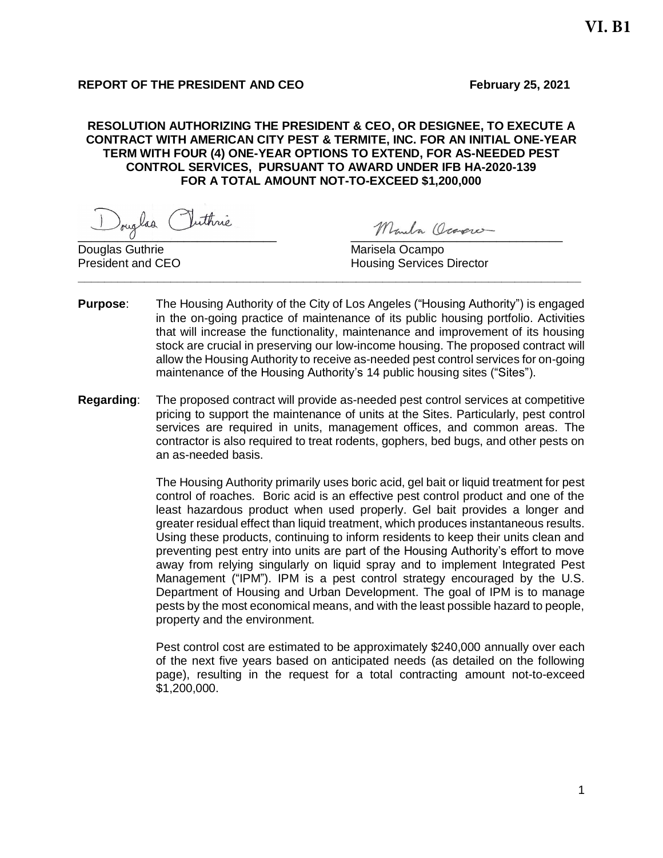# **REPORT OF THE PRESIDENT AND CEO February** 25, 2021

## **RESOLUTION AUTHORIZING THE PRESIDENT & CEO, OR DESIGNEE, TO EXECUTE A CONTRACT WITH AMERICAN CITY PEST & TERMITE, INC. FOR AN INITIAL ONE-YEAR TERM WITH FOUR (4) ONE-YEAR OPTIONS TO EXTEND, FOR AS-NEEDED PEST CONTROL SERVICES, PURSUANT TO AWARD UNDER IFB HA-2020-139 FOR A TOTAL AMOUNT NOT-TO-EXCEED \$1,200,000**

Douglas Puthrie Monda Ocapier

Douglas Guthrie **Marisela Ocampo** Marisela Ocampo **\_\_\_\_\_\_\_\_\_\_\_\_\_\_\_\_\_\_\_\_\_\_\_\_\_\_\_\_\_\_\_\_\_\_\_\_\_\_\_\_\_\_\_\_\_\_\_\_\_\_\_\_\_\_\_\_\_\_\_\_\_\_\_\_\_\_\_\_\_\_\_\_\_\_\_\_**

**President and CEO Housing Services Director** 

- **Purpose**: The Housing Authority of the City of Los Angeles ("Housing Authority") is engaged in the on-going practice of maintenance of its public housing portfolio. Activities that will increase the functionality, maintenance and improvement of its housing stock are crucial in preserving our low-income housing. The proposed contract will allow the Housing Authority to receive as-needed pest control services for on-going maintenance of the Housing Authority's 14 public housing sites ("Sites").
- **Regarding**: The proposed contract will provide as-needed pest control services at competitive pricing to support the maintenance of units at the Sites. Particularly, pest control services are required in units, management offices, and common areas. The contractor is also required to treat rodents, gophers, bed bugs, and other pests on an as-needed basis.

The Housing Authority primarily uses boric acid, gel bait or liquid treatment for pest control of roaches. Boric acid is an effective pest control product and one of the least hazardous product when used properly. Gel bait provides a longer and greater residual effect than liquid treatment, which produces instantaneous results. Using these products, continuing to inform residents to keep their units clean and preventing pest entry into units are part of the Housing Authority's effort to move away from relying singularly on liquid spray and to implement Integrated Pest Management ("IPM"). IPM is a pest control strategy encouraged by the U.S. Department of Housing and Urban Development. The goal of IPM is to manage pests by the most economical means, and with the least possible hazard to people, property and the environment.

Pest control cost are estimated to be approximately \$240,000 annually over each of the next five years based on anticipated needs (as detailed on the following page), resulting in the request for a total contracting amount not-to-exceed \$1,200,000.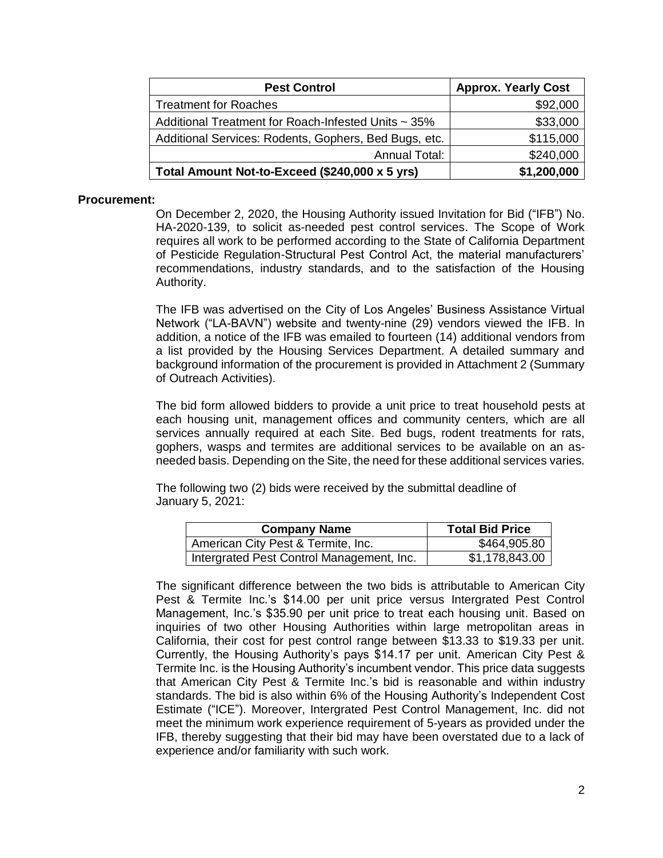| <b>Pest Control</b>                                   | <b>Approx. Yearly Cost</b> |
|-------------------------------------------------------|----------------------------|
| <b>Treatment for Roaches</b>                          | \$92,000                   |
| Additional Treatment for Roach-Infested Units ~ 35%   | \$33,000                   |
| Additional Services: Rodents, Gophers, Bed Bugs, etc. | \$115,000                  |
| <b>Annual Total:</b>                                  | \$240,000                  |
| Total Amount Not-to-Exceed (\$240,000 x 5 yrs)        | \$1,200,000                |

#### **Procurement:**

On December 2, 2020, the Housing Authority issued Invitation for Bid ("IFB") No. HA-2020-139, to solicit as-needed pest control services. The Scope of Work requires all work to be performed according to the State of California Department of Pesticide Regulation-Structural Pest Control Act, the material manufacturers' recommendations, industry standards, and to the satisfaction of the Housing Authority.

The IFB was advertised on the City of Los Angeles' Business Assistance Virtual Network ("LA-BAVN") website and twenty-nine (29) vendors viewed the IFB. In addition, a notice of the IFB was emailed to fourteen (14) additional vendors from a list provided by the Housing Services Department. A detailed summary and background information of the procurement is provided in Attachment 2 (Summary of Outreach Activities).

The bid form allowed bidders to provide a unit price to treat household pests at each housing unit, management offices and community centers, which are all services annually required at each Site. Bed bugs, rodent treatments for rats, gophers, wasps and termites are additional services to be available on an asneeded basis. Depending on the Site, the need for these additional services varies.

The following two (2) bids were received by the submittal deadline of January 5, 2021:

| <b>Company Name</b>                       | <b>Total Bid Price</b> |
|-------------------------------------------|------------------------|
| American City Pest & Termite, Inc.        | \$464,905.80           |
| Intergrated Pest Control Management, Inc. | \$1,178,843.00         |

The significant difference between the two bids is attributable to American City Pest & Termite Inc.'s \$14.00 per unit price versus Intergrated Pest Control Management, Inc.'s \$35.90 per unit price to treat each housing unit. Based on inquiries of two other Housing Authorities within large metropolitan areas in California, their cost for pest control range between \$13.33 to \$19.33 per unit. Currently, the Housing Authority's pays \$14.17 per unit. American City Pest & Termite Inc. is the Housing Authority's incumbent vendor. This price data suggests that American City Pest & Termite Inc.'s bid is reasonable and within industry standards. The bid is also within 6% of the Housing Authority's Independent Cost Estimate ("ICE"). Moreover, Intergrated Pest Control Management, Inc. did not meet the minimum work experience requirement of 5-years as provided under the IFB, thereby suggesting that their bid may have been overstated due to a lack of experience and/or familiarity with such work.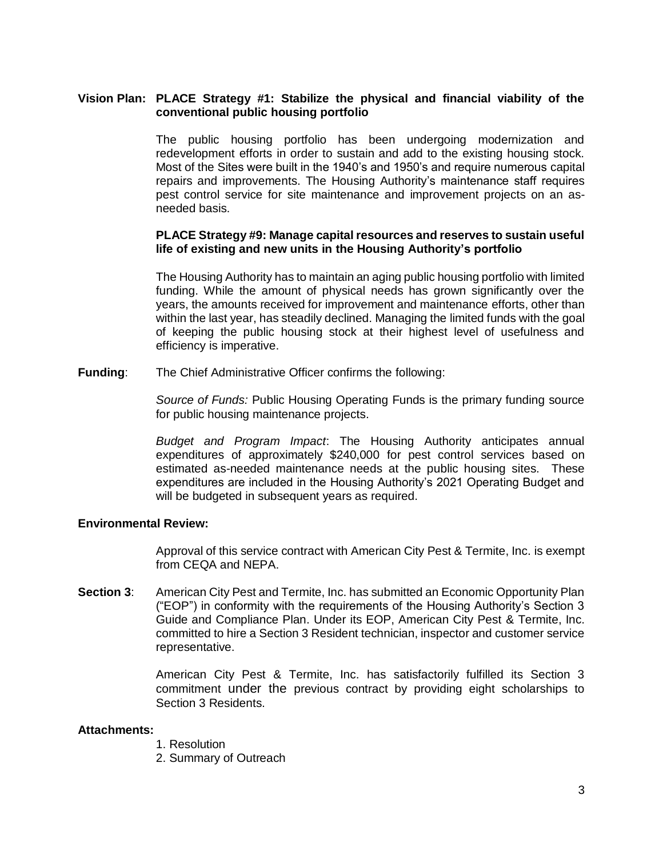# **Vision Plan: PLACE Strategy #1: Stabilize the physical and financial viability of the conventional public housing portfolio**

The public housing portfolio has been undergoing modernization and redevelopment efforts in order to sustain and add to the existing housing stock. Most of the Sites were built in the 1940's and 1950's and require numerous capital repairs and improvements. The Housing Authority's maintenance staff requires pest control service for site maintenance and improvement projects on an asneeded basis.

#### **PLACE Strategy #9: Manage capital resources and reserves to sustain useful life of existing and new units in the Housing Authority's portfolio**

The Housing Authority has to maintain an aging public housing portfolio with limited funding. While the amount of physical needs has grown significantly over the years, the amounts received for improvement and maintenance efforts, other than within the last year, has steadily declined. Managing the limited funds with the goal of keeping the public housing stock at their highest level of usefulness and efficiency is imperative.

**Funding**: The Chief Administrative Officer confirms the following:

*Source of Funds:* Public Housing Operating Funds is the primary funding source for public housing maintenance projects.

*Budget and Program Impact*: The Housing Authority anticipates annual expenditures of approximately \$240,000 for pest control services based on estimated as-needed maintenance needs at the public housing sites. These expenditures are included in the Housing Authority's 2021 Operating Budget and will be budgeted in subsequent years as required.

#### **Environmental Review:**

Approval of this service contract with American City Pest & Termite, Inc. is exempt from CEQA and NEPA.

**Section 3**: American City Pest and Termite, Inc. has submitted an Economic Opportunity Plan ("EOP") in conformity with the requirements of the Housing Authority's Section 3 Guide and Compliance Plan. Under its EOP, American City Pest & Termite, Inc. committed to hire a Section 3 Resident technician, inspector and customer service representative.

> American City Pest & Termite, Inc. has satisfactorily fulfilled its Section 3 commitment under the previous contract by providing eight scholarships to Section 3 Residents.

#### **Attachments:**

- 1. Resolution
- 2. Summary of Outreach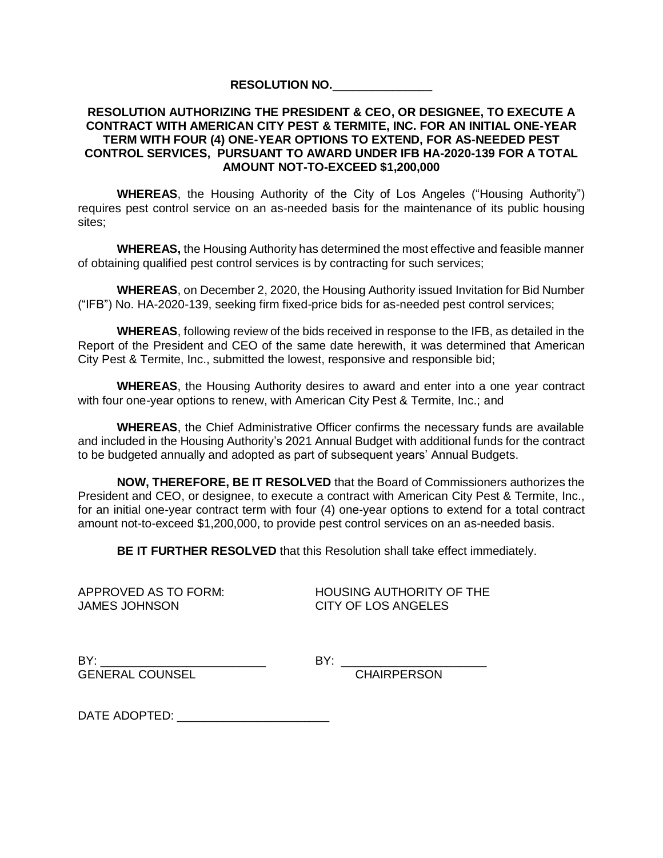#### **RESOLUTION NO.**\_\_\_\_\_\_\_\_\_\_\_\_\_\_\_

## **RESOLUTION AUTHORIZING THE PRESIDENT & CEO, OR DESIGNEE, TO EXECUTE A CONTRACT WITH AMERICAN CITY PEST & TERMITE, INC. FOR AN INITIAL ONE-YEAR TERM WITH FOUR (4) ONE-YEAR OPTIONS TO EXTEND, FOR AS-NEEDED PEST CONTROL SERVICES, PURSUANT TO AWARD UNDER IFB HA-2020-139 FOR A TOTAL AMOUNT NOT-TO-EXCEED \$1,200,000**

**WHEREAS**, the Housing Authority of the City of Los Angeles ("Housing Authority") requires pest control service on an as-needed basis for the maintenance of its public housing sites;

**WHEREAS,** the Housing Authority has determined the most effective and feasible manner of obtaining qualified pest control services is by contracting for such services;

**WHEREAS**, on December 2, 2020, the Housing Authority issued Invitation for Bid Number ("IFB") No. HA-2020-139, seeking firm fixed-price bids for as-needed pest control services;

**WHEREAS**, following review of the bids received in response to the IFB, as detailed in the Report of the President and CEO of the same date herewith, it was determined that American City Pest & Termite, Inc., submitted the lowest, responsive and responsible bid;

**WHEREAS**, the Housing Authority desires to award and enter into a one year contract with four one-year options to renew, with American City Pest & Termite, Inc.; and

**WHEREAS**, the Chief Administrative Officer confirms the necessary funds are available and included in the Housing Authority's 2021 Annual Budget with additional funds for the contract to be budgeted annually and adopted as part of subsequent years' Annual Budgets.

**NOW, THEREFORE, BE IT RESOLVED** that the Board of Commissioners authorizes the President and CEO, or designee, to execute a contract with American City Pest & Termite, Inc., for an initial one-year contract term with four (4) one-year options to extend for a total contract amount not-to-exceed \$1,200,000, to provide pest control services on an as-needed basis.

**BE IT FURTHER RESOLVED** that this Resolution shall take effect immediately.

JAMES JOHNSON CITY OF LOS ANGELES

APPROVED AS TO FORM: HOUSING AUTHORITY OF THE

BY: \_\_\_\_\_\_\_\_\_\_\_\_\_\_\_\_\_\_\_\_\_\_\_\_\_ BY: \_\_\_\_\_\_\_\_\_\_\_\_\_\_\_\_\_\_\_\_\_\_ GENERAL COUNSEL CHAIRPERSON

DATE ADOPTED: \_\_\_\_\_\_\_\_\_\_\_\_\_\_\_\_\_\_\_\_\_\_\_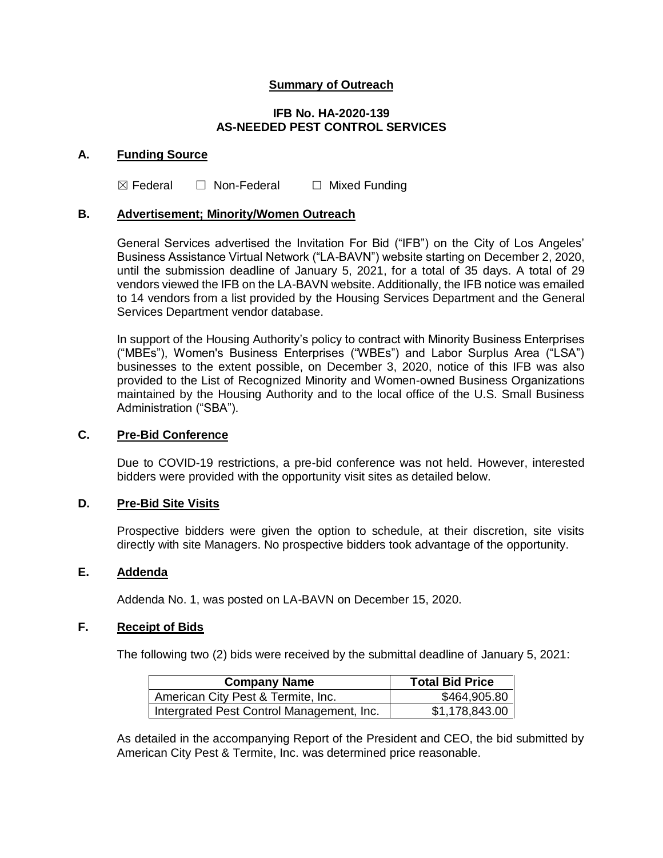# **Summary of Outreach**

#### **IFB No. HA-2020-139 AS-NEEDED PEST CONTROL SERVICES**

#### **A. Funding Source**

 $\boxtimes$  Federal  $\Box$  Non-Federal  $\Box$  Mixed Funding

# **B. Advertisement; Minority/Women Outreach**

General Services advertised the Invitation For Bid ("IFB") on the City of Los Angeles' Business Assistance Virtual Network ("LA-BAVN") website starting on December 2, 2020, until the submission deadline of January 5, 2021, for a total of 35 days. A total of 29 vendors viewed the IFB on the LA-BAVN website. Additionally, the IFB notice was emailed to 14 vendors from a list provided by the Housing Services Department and the General Services Department vendor database.

In support of the Housing Authority's policy to contract with Minority Business Enterprises ("MBEs"), Women's Business Enterprises ("WBEs") and Labor Surplus Area ("LSA") businesses to the extent possible, on December 3, 2020, notice of this IFB was also provided to the List of Recognized Minority and Women-owned Business Organizations maintained by the Housing Authority and to the local office of the U.S. Small Business Administration ("SBA").

#### **C. Pre-Bid Conference**

Due to COVID-19 restrictions, a pre-bid conference was not held. However, interested bidders were provided with the opportunity visit sites as detailed below.

#### **D. Pre-Bid Site Visits**

Prospective bidders were given the option to schedule, at their discretion, site visits directly with site Managers. No prospective bidders took advantage of the opportunity.

# **E. Addenda**

Addenda No. 1, was posted on LA-BAVN on December 15, 2020.

#### **F. Receipt of Bids**

The following two (2) bids were received by the submittal deadline of January 5, 2021:

| <b>Company Name</b>                       | <b>Total Bid Price</b> |
|-------------------------------------------|------------------------|
| American City Pest & Termite, Inc.        | \$464,905.80           |
| Intergrated Pest Control Management, Inc. | \$1,178,843.00         |

As detailed in the accompanying Report of the President and CEO, the bid submitted by American City Pest & Termite, Inc. was determined price reasonable.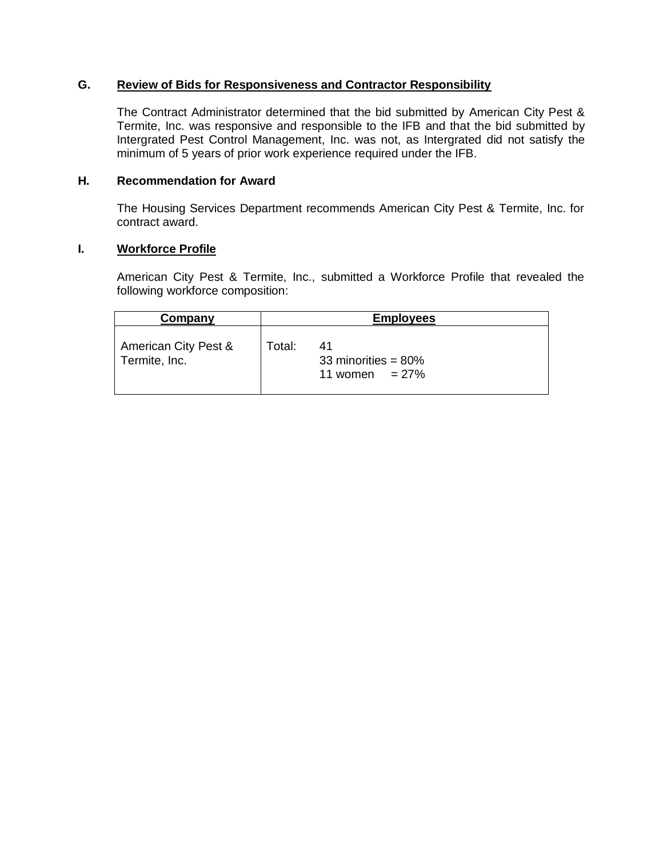# **G. Review of Bids for Responsiveness and Contractor Responsibility**

The Contract Administrator determined that the bid submitted by American City Pest & Termite, Inc. was responsive and responsible to the IFB and that the bid submitted by Intergrated Pest Control Management, Inc. was not, as Intergrated did not satisfy the minimum of 5 years of prior work experience required under the IFB.

## **H. Recommendation for Award**

The Housing Services Department recommends American City Pest & Termite, Inc. for contract award.

#### **I. Workforce Profile**

American City Pest & Termite, Inc., submitted a Workforce Profile that revealed the following workforce composition:

| Company                               | <b>Employees</b> |                                                   |
|---------------------------------------|------------------|---------------------------------------------------|
| American City Pest &<br>Termite, Inc. | Total:           | 41<br>33 minorities = $80\%$<br>11 women $= 27\%$ |